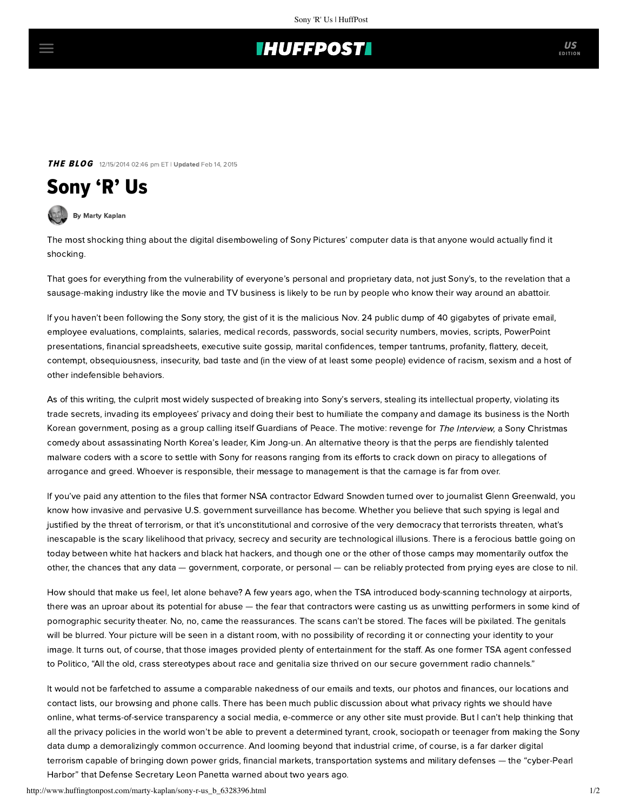## **IHUFFPOSTI**

THE BLOG 12/15/2014 02:46 pm ET | Updated Feb 14, 2015

## Sony 'R' Us

[By Marty Kaplan](http://www.huffingtonpost.com/author/marty-kaplan)

The most shocking thing about the digital disemboweling of [Sony Pictures' computer data](http://www.latimes.com/entertainment/envelope/cotown/la-fi-ct-sony-emails-20141213-story.html#page=1) is that anyone would actually find it shocking.

That goes for everything from the vulnerability of everyone's personal and proprietary data, not just Sony's, to the revelation that a sausage-making industry like the movie and TV business is likely to be run by people who know their way around an abattoir.

If you haven't been following the Sony story, the gist of it is the malicious Nov. 24 public dump of [40 gigabytes](http://gizmodo.com/the-sony-pictures-hack-exposed-budgets-layoffs-and-3-1665739357/1666122168/+ace) of private email, employee evaluations, [complaints,](http://gawker.com/sony-hack-reveals-25-page-list-of-reasons-it-sucks-to-w-1666264634) salaries, medical records, passwords, social security numbers, movies, scripts, PowerPoint presentations, financial spreadsheets, executive suite gossip, marital confidences, temper tantrums, profanity, flattery, deceit, contempt, obsequiousness, insecurity, bad taste and (in the view of at least some people) evidence of racism, sexism and a host of other indefensible behaviors.

As of this writing, the culprit most widely suspected of breaking into Sony's servers, stealing its intellectual property, violating its trade secrets, invading its employees' privacy and doing their best to humiliate the company and damage its business is the North Korean government, posing as a group calling itself Guardians of Peace. The motive: revenge for The Interview, a Sony Christmas comedy about assassinating North Korea's leader, Kim Jong-un. An alternative theory is that the perps are fiendishly talented malware coders with a score to settle with Sony for reasons ranging from its efforts to crack down on piracy to allegations of arrogance and greed. Whoever is responsible, their message to management is that the carnage is far from over.

If you've paid any attention to the files that former NSA contractor Edward Snowden turned over to journalist Glenn Greenwald, you know how invasive and pervasive U.S. government surveillance has become. Whether you believe that such spying is legal and justified by the threat of terrorism, or that it's unconstitutional and corrosive of the very democracy that terrorists threaten, what's inescapable is the scary likelihood that privacy, secrecy and security are technological illusions. There is a ferocious battle going on today between white hat hackers and black hat hackers, and though one or the other of those camps may momentarily outfox the other, the chances that any data — government, corporate, or personal — can be reliably protected from prying eyes are close to nil.

How should that make us feel, let alone behave? A few years ago, when the TSA introduced body-scanning technology at airports, there was an uproar about its potential for abuse — the fear that contractors were casting us as unwitting performers in some kind of pornographic security theater. No, no, came the reassurances. The scans can't be stored. The faces will be pixilated. The genitals will be blurred. Your picture will be seen in a distant room, with no possibility of recording it or connecting your identity to your image. It turns out, of course, that those images provided plenty of entertainment for the staff. As one former TSA agent confessed to Politico, ["All the old, crass stereotypes about race and genitalia size thrived on our secure government radio channels."](http://www.politico.com/magazine/story/2014/01/tsa-screener-confession-102912_full.html#.VI3_-r6j6FA)

It would not be farfetched to assume a comparable nakedness of our emails and texts, our photos and finances, our locations and contact lists, our browsing and phone calls. There has been much public discussion about what privacy rights we should have online, what terms-of-service transparency a social media, e-commerce or any other site must provide. But I can't help thinking that all the privacy policies in the world won't be able to prevent a determined tyrant, crook, sociopath or teenager from making the Sony data dump a demoralizingly common occurrence. And looming beyond that industrial crime, of course, is a far darker digital [terrorism capable of bringing down power grids, financial markets, transportation systems and military defenses](http://www.nytimes.com/2012/10/12/world/panetta-warns-of-dire-threat-of-cyberattack.html?pagewanted=all&_r=2&) — the "cyber-Pearl Harbor" that Defense Secretary Leon Panetta warned about two years ago.

http://www.huffingtonpost.com/marty-kaplan/sony-r-us\_b\_6328396.html 1/2